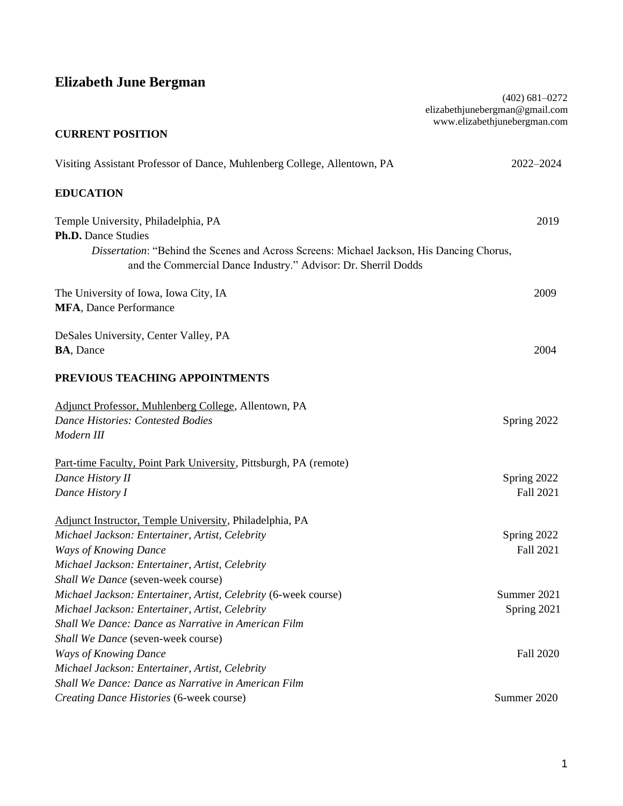# **Elizabeth June Bergman**

|                                                                                                                                                                                                                                  | $(402)$ 681-0272<br>elizabethjunebergman@gmail.com<br>www.elizabethjunebergman.com |
|----------------------------------------------------------------------------------------------------------------------------------------------------------------------------------------------------------------------------------|------------------------------------------------------------------------------------|
| <b>CURRENT POSITION</b>                                                                                                                                                                                                          |                                                                                    |
| Visiting Assistant Professor of Dance, Muhlenberg College, Allentown, PA                                                                                                                                                         | 2022-2024                                                                          |
| <b>EDUCATION</b>                                                                                                                                                                                                                 |                                                                                    |
| Temple University, Philadelphia, PA<br><b>Ph.D.</b> Dance Studies<br>Dissertation: "Behind the Scenes and Across Screens: Michael Jackson, His Dancing Chorus,<br>and the Commercial Dance Industry." Advisor: Dr. Sherril Dodds | 2019                                                                               |
| The University of Iowa, Iowa City, IA<br>MFA, Dance Performance                                                                                                                                                                  | 2009                                                                               |
| DeSales University, Center Valley, PA<br><b>BA, Dance</b>                                                                                                                                                                        | 2004                                                                               |
| PREVIOUS TEACHING APPOINTMENTS                                                                                                                                                                                                   |                                                                                    |
| Adjunct Professor, Muhlenberg College, Allentown, PA                                                                                                                                                                             |                                                                                    |
| <b>Dance Histories: Contested Bodies</b><br>Modern III                                                                                                                                                                           | Spring 2022                                                                        |
| Part-time Faculty, Point Park University, Pittsburgh, PA (remote)<br>Dance History II<br>Dance History I                                                                                                                         | Spring 2022<br>Fall 2021                                                           |
| Adjunct Instructor, Temple University, Philadelphia, PA<br>Michael Jackson: Entertainer, Artist, Celebrity<br><b>Ways of Knowing Dance</b><br>Michael Jackson: Entertainer, Artist, Celebrity                                    | Spring 2022<br>Fall 2021                                                           |
| Shall We Dance (seven-week course)                                                                                                                                                                                               |                                                                                    |
| Michael Jackson: Entertainer, Artist, Celebrity (6-week course)                                                                                                                                                                  | Summer 2021                                                                        |
| Michael Jackson: Entertainer, Artist, Celebrity<br>Shall We Dance: Dance as Narrative in American Film<br>Shall We Dance (seven-week course)                                                                                     | Spring 2021                                                                        |
| <b>Ways of Knowing Dance</b>                                                                                                                                                                                                     | Fall 2020                                                                          |
| Michael Jackson: Entertainer, Artist, Celebrity                                                                                                                                                                                  |                                                                                    |
| Shall We Dance: Dance as Narrative in American Film                                                                                                                                                                              |                                                                                    |
| Creating Dance Histories (6-week course)                                                                                                                                                                                         | Summer 2020                                                                        |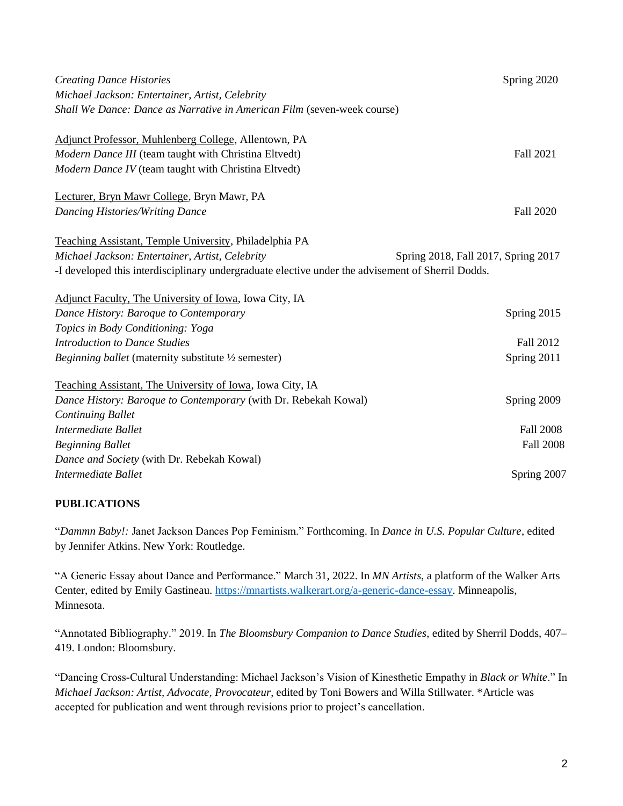| <b>Creating Dance Histories</b>                                                                   | Spring 2020                         |
|---------------------------------------------------------------------------------------------------|-------------------------------------|
| Michael Jackson: Entertainer, Artist, Celebrity                                                   |                                     |
| Shall We Dance: Dance as Narrative in American Film (seven-week course)                           |                                     |
|                                                                                                   |                                     |
| Adjunct Professor, Muhlenberg College, Allentown, PA                                              |                                     |
| Modern Dance III (team taught with Christina Eltvedt)                                             | Fall 2021                           |
| Modern Dance IV (team taught with Christina Eltvedt)                                              |                                     |
| Lecturer, Bryn Mawr College, Bryn Mawr, PA                                                        |                                     |
| <b>Dancing Histories/Writing Dance</b>                                                            | <b>Fall 2020</b>                    |
| Teaching Assistant, Temple University, Philadelphia PA                                            |                                     |
| Michael Jackson: Entertainer, Artist, Celebrity                                                   | Spring 2018, Fall 2017, Spring 2017 |
| -I developed this interdisciplinary undergraduate elective under the advisement of Sherril Dodds. |                                     |
|                                                                                                   |                                     |
| Adjunct Faculty, The University of Iowa, Iowa City, IA                                            |                                     |
| Dance History: Baroque to Contemporary                                                            | Spring 2015                         |
| Topics in Body Conditioning: Yoga                                                                 |                                     |
| <b>Introduction to Dance Studies</b>                                                              | Fall 2012                           |
| Beginning ballet (maternity substitute 1/2 semester)                                              | Spring 2011                         |
| Teaching Assistant, The University of Iowa, Iowa City, IA                                         |                                     |
| Dance History: Baroque to Contemporary (with Dr. Rebekah Kowal)                                   | Spring 2009                         |
| <b>Continuing Ballet</b>                                                                          |                                     |
| <b>Intermediate Ballet</b>                                                                        | <b>Fall 2008</b>                    |
| <b>Beginning Ballet</b>                                                                           | <b>Fall 2008</b>                    |
| Dance and Society (with Dr. Rebekah Kowal)                                                        |                                     |
| Intermediate Ballet                                                                               | Spring 2007                         |

#### **PUBLICATIONS**

"*Dammn Baby!:* Janet Jackson Dances Pop Feminism." Forthcoming. In *Dance in U.S. Popular Culture*, edited by Jennifer Atkins. New York: Routledge.

"A Generic Essay about Dance and Performance." March 31, 2022. In *MN Artists*, a platform of the Walker Arts Center, edited by Emily Gastineau. [https://mnartists.walkerart.org/a-generic-dance-essay.](https://mnartists.walkerart.org/a-generic-dance-essay) Minneapolis, Minnesota.

"Annotated Bibliography." 2019. In *The Bloomsbury Companion to Dance Studies*, edited by Sherril Dodds, 407– 419. London: Bloomsbury.

"Dancing Cross-Cultural Understanding: Michael Jackson's Vision of Kinesthetic Empathy in *Black or White*." In *Michael Jackson: Artist, Advocate, Provocateur*, edited by Toni Bowers and Willa Stillwater. \*Article was accepted for publication and went through revisions prior to project's cancellation.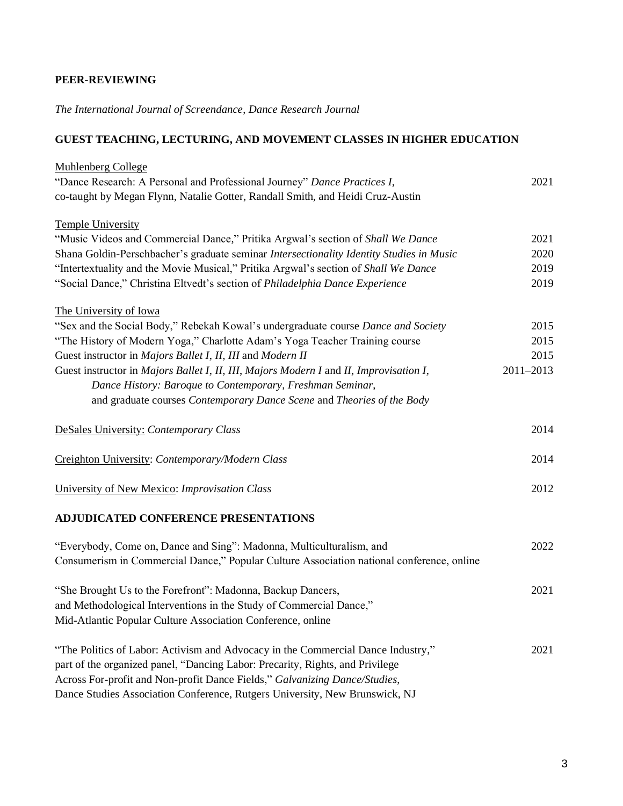#### **PEER-REVIEWING**

*The International Journal of Screendance*, *Dance Research Journal*

# **GUEST TEACHING, LECTURING, AND MOVEMENT CLASSES IN HIGHER EDUCATION**

| <b>Muhlenberg College</b>                                                                 |               |
|-------------------------------------------------------------------------------------------|---------------|
| "Dance Research: A Personal and Professional Journey" Dance Practices I,                  | 2021          |
| co-taught by Megan Flynn, Natalie Gotter, Randall Smith, and Heidi Cruz-Austin            |               |
| <b>Temple University</b>                                                                  |               |
| "Music Videos and Commercial Dance," Pritika Argwal's section of Shall We Dance           | 2021          |
| Shana Goldin-Perschbacher's graduate seminar Intersectionality Identity Studies in Music  | 2020          |
| "Intertextuality and the Movie Musical," Pritika Argwal's section of Shall We Dance       | 2019          |
| "Social Dance," Christina Eltvedt's section of Philadelphia Dance Experience              | 2019          |
| The University of Iowa                                                                    |               |
| "Sex and the Social Body," Rebekah Kowal's undergraduate course Dance and Society         | 2015          |
| "The History of Modern Yoga," Charlotte Adam's Yoga Teacher Training course               | 2015          |
| Guest instructor in Majors Ballet I, II, III and Modern II                                | 2015          |
| Guest instructor in Majors Ballet I, II, III, Majors Modern I and II, Improvisation I,    | $2011 - 2013$ |
| Dance History: Baroque to Contemporary, Freshman Seminar,                                 |               |
| and graduate courses Contemporary Dance Scene and Theories of the Body                    |               |
| DeSales University: Contemporary Class                                                    | 2014          |
| Creighton University: Contemporary/Modern Class                                           | 2014          |
| University of New Mexico: Improvisation Class                                             | 2012          |
| ADJUDICATED CONFERENCE PRESENTATIONS                                                      |               |
| "Everybody, Come on, Dance and Sing": Madonna, Multiculturalism, and                      | 2022          |
| Consumerism in Commercial Dance," Popular Culture Association national conference, online |               |
| "She Brought Us to the Forefront": Madonna, Backup Dancers,                               | 2021          |
| and Methodological Interventions in the Study of Commercial Dance,"                       |               |
| Mid-Atlantic Popular Culture Association Conference, online                               |               |
| "The Politics of Labor: Activism and Advocacy in the Commercial Dance Industry,"          | 2021          |
| part of the organized panel, "Dancing Labor: Precarity, Rights, and Privilege             |               |
| Across For-profit and Non-profit Dance Fields," Galvanizing Dance/Studies,                |               |
| Dance Studies Association Conference, Rutgers University, New Brunswick, NJ               |               |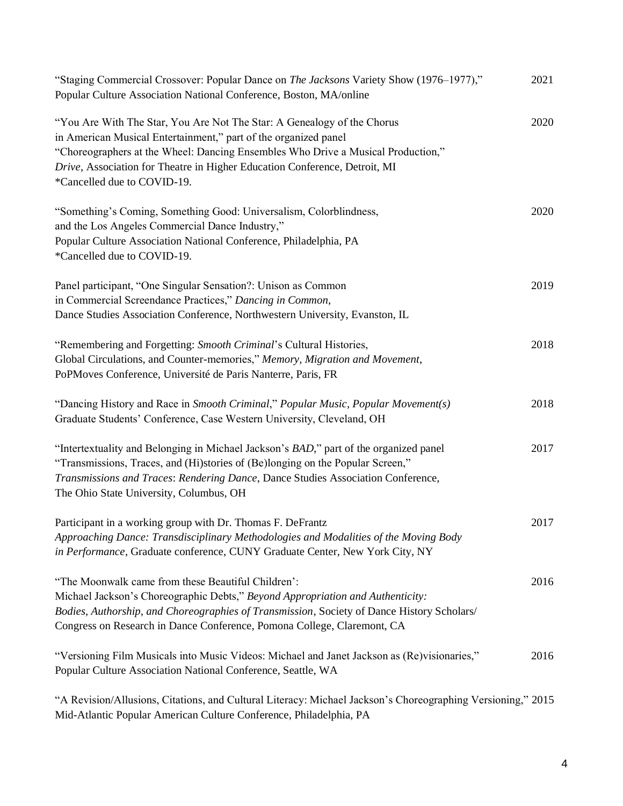| "Staging Commercial Crossover: Popular Dance on The Jacksons Variety Show (1976–1977),"<br>Popular Culture Association National Conference, Boston, MA/online                                                                                                                                                                               | 2021 |
|---------------------------------------------------------------------------------------------------------------------------------------------------------------------------------------------------------------------------------------------------------------------------------------------------------------------------------------------|------|
| "You Are With The Star, You Are Not The Star: A Genealogy of the Chorus<br>in American Musical Entertainment," part of the organized panel<br>"Choreographers at the Wheel: Dancing Ensembles Who Drive a Musical Production,"<br>Drive, Association for Theatre in Higher Education Conference, Detroit, MI<br>*Cancelled due to COVID-19. | 2020 |
| "Something's Coming, Something Good: Universalism, Colorblindness,<br>and the Los Angeles Commercial Dance Industry,"<br>Popular Culture Association National Conference, Philadelphia, PA<br>*Cancelled due to COVID-19.                                                                                                                   | 2020 |
| Panel participant, "One Singular Sensation?: Unison as Common<br>in Commercial Screendance Practices," Dancing in Common,<br>Dance Studies Association Conference, Northwestern University, Evanston, IL                                                                                                                                    | 2019 |
| "Remembering and Forgetting: Smooth Criminal's Cultural Histories,<br>Global Circulations, and Counter-memories," Memory, Migration and Movement,<br>PoPMoves Conference, Université de Paris Nanterre, Paris, FR                                                                                                                           | 2018 |
| "Dancing History and Race in Smooth Criminal," Popular Music, Popular Movement(s)<br>Graduate Students' Conference, Case Western University, Cleveland, OH                                                                                                                                                                                  | 2018 |
| "Intertextuality and Belonging in Michael Jackson's BAD," part of the organized panel<br>"Transmissions, Traces, and (Hi)stories of (Be)longing on the Popular Screen,"<br>Transmissions and Traces: Rendering Dance, Dance Studies Association Conference,<br>The Ohio State University, Columbus, OH                                      | 2017 |
| Participant in a working group with Dr. Thomas F. DeFrantz<br>Approaching Dance: Transdisciplinary Methodologies and Modalities of the Moving Body<br>in Performance, Graduate conference, CUNY Graduate Center, New York City, NY                                                                                                          | 2017 |
| "The Moonwalk came from these Beautiful Children':<br>Michael Jackson's Choreographic Debts," Beyond Appropriation and Authenticity:<br>Bodies, Authorship, and Choreographies of Transmission, Society of Dance History Scholars/<br>Congress on Research in Dance Conference, Pomona College, Claremont, CA                               | 2016 |
| "Versioning Film Musicals into Music Videos: Michael and Janet Jackson as (Re)visionaries,"<br>Popular Culture Association National Conference, Seattle, WA                                                                                                                                                                                 | 2016 |
| "A Revision/Allusions, Citations, and Cultural Literacy: Michael Jackson's Choreographing Versioning," 2015<br>Mid-Atlantic Popular American Culture Conference, Philadelphia, PA                                                                                                                                                           |      |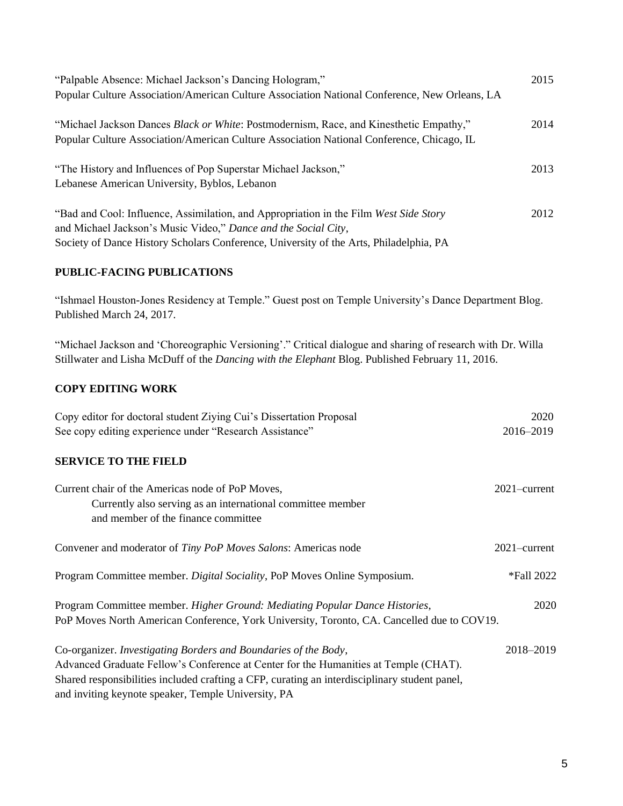| "Palpable Absence: Michael Jackson's Dancing Hologram,"                                       | 2015 |
|-----------------------------------------------------------------------------------------------|------|
| Popular Culture Association/American Culture Association National Conference, New Orleans, LA |      |
| "Michael Jackson Dances Black or White: Postmodernism, Race, and Kinesthetic Empathy,"        | 2014 |
| Popular Culture Association/American Culture Association National Conference, Chicago, IL     |      |
| "The History and Influences of Pop Superstar Michael Jackson,"                                | 2013 |
| Lebanese American University, Byblos, Lebanon                                                 |      |
| "Bad and Cool: Influence, Assimilation, and Appropriation in the Film West Side Story         | 2012 |
| and Michael Jackson's Music Video," Dance and the Social City,                                |      |
| Society of Dance History Scholars Conference, University of the Arts, Philadelphia, PA        |      |

#### **PUBLIC-FACING PUBLICATIONS**

"Ishmael Houston-Jones Residency at Temple." Guest post on Temple University's Dance Department Blog. Published March 24, 2017.

"Michael Jackson and 'Choreographic Versioning'." Critical dialogue and sharing of research with Dr. Willa Stillwater and Lisha McDuff of the *Dancing with the Elephant* Blog. Published February 11, 2016.

# **COPY EDITING WORK**

| Copy editor for doctoral student Ziying Cui's Dissertation Proposal                           | 2020            |
|-----------------------------------------------------------------------------------------------|-----------------|
| See copy editing experience under "Research Assistance"                                       | 2016-2019       |
| <b>SERVICE TO THE FIELD</b>                                                                   |                 |
| Current chair of the Americas node of PoP Moves,                                              | $2021$ -current |
| Currently also serving as an international committee member                                   |                 |
| and member of the finance committee                                                           |                 |
| Convener and moderator of Tiny PoP Moves Salons: Americas node                                | $2021$ -current |
| Program Committee member. Digital Sociality, PoP Moves Online Symposium.                      | *Fall 2022      |
| Program Committee member. Higher Ground: Mediating Popular Dance Histories,                   | 2020            |
| PoP Moves North American Conference, York University, Toronto, CA. Cancelled due to COV19.    |                 |
| Co-organizer. Investigating Borders and Boundaries of the Body,                               | 2018-2019       |
| Advanced Graduate Fellow's Conference at Center for the Humanities at Temple (CHAT).          |                 |
| Shared responsibilities included crafting a CFP, curating an interdisciplinary student panel, |                 |
| and inviting keynote speaker, Temple University, PA                                           |                 |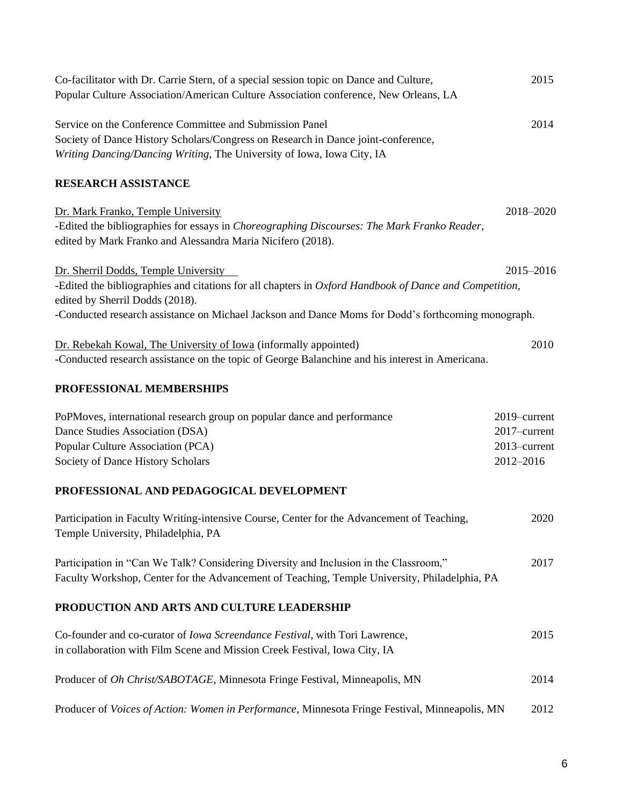| Co-facilitator with Dr. Carrie Stern, of a special session topic on Dance and Culture,<br>Popular Culture Association/American Culture Association conference, New Orleans, LA                                          | 2015                                                      |
|-------------------------------------------------------------------------------------------------------------------------------------------------------------------------------------------------------------------------|-----------------------------------------------------------|
| Service on the Conference Committee and Submission Panel<br>Society of Dance History Scholars/Congress on Research in Dance joint-conference,<br>Writing Dancing/Dancing Writing, The University of Iowa, Iowa City, IA | 2014                                                      |
| <b>RESEARCH ASSISTANCE</b>                                                                                                                                                                                              |                                                           |
| Dr. Mark Franko, Temple University<br>-Edited the bibliographies for essays in Choreographing Discourses: The Mark Franko Reader,<br>edited by Mark Franko and Alessandra Maria Nicifero (2018).                        | 2018-2020                                                 |
| Dr. Sherril Dodds, Temple University<br>-Edited the bibliographies and citations for all chapters in Oxford Handbook of Dance and Competition,<br>edited by Sherril Dodds (2018).                                       | 2015-2016                                                 |
| -Conducted research assistance on Michael Jackson and Dance Moms for Dodd's forthcoming monograph.                                                                                                                      |                                                           |
| Dr. Rebekah Kowal, The University of Iowa (informally appointed)<br>-Conducted research assistance on the topic of George Balanchine and his interest in Americana.                                                     | 2010                                                      |
| PROFESSIONAL MEMBERSHIPS                                                                                                                                                                                                |                                                           |
| PoPMoves, international research group on popular dance and performance<br>Dance Studies Association (DSA)<br>Popular Culture Association (PCA)<br>Society of Dance History Scholars                                    | 2019-current<br>2017-current<br>2013-current<br>2012-2016 |
| PROFESSIONAL AND PEDAGOGICAL DEVELOPMENT                                                                                                                                                                                |                                                           |
| Participation in Faculty Writing-intensive Course, Center for the Advancement of Teaching,<br>Temple University, Philadelphia, PA                                                                                       | 2020                                                      |
| Participation in "Can We Talk? Considering Diversity and Inclusion in the Classroom,"<br>Faculty Workshop, Center for the Advancement of Teaching, Temple University, Philadelphia, PA                                  | 2017                                                      |
| PRODUCTION AND ARTS AND CULTURE LEADERSHIP                                                                                                                                                                              |                                                           |
| Co-founder and co-curator of Iowa Screendance Festival, with Tori Lawrence,<br>in collaboration with Film Scene and Mission Creek Festival, Iowa City, IA                                                               | 2015                                                      |
| Producer of Oh Christ/SABOTAGE, Minnesota Fringe Festival, Minneapolis, MN                                                                                                                                              | 2014                                                      |
| Producer of Voices of Action: Women in Performance, Minnesota Fringe Festival, Minneapolis, MN                                                                                                                          | 2012                                                      |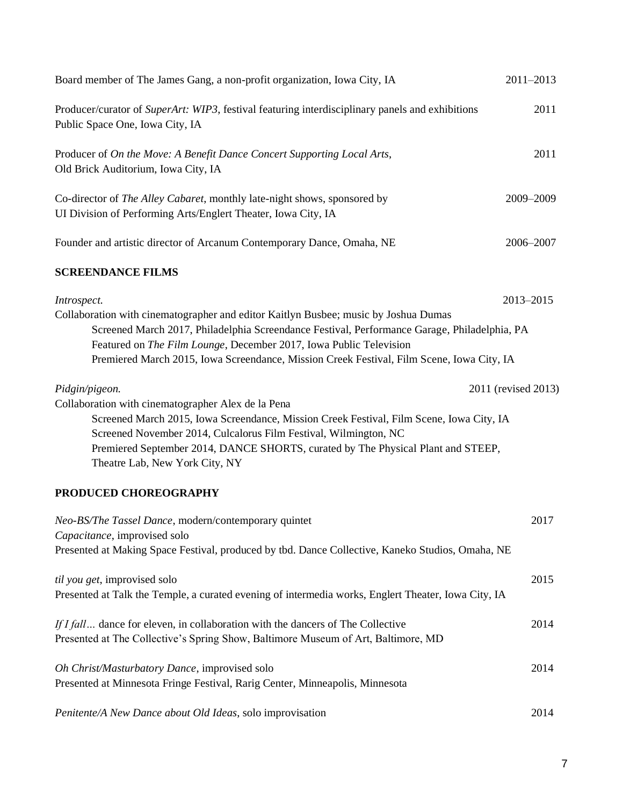| Board member of The James Gang, a non-profit organization, Iowa City, IA                                                                                                                                                                                                                                                                                              | $2011 - 2013$       |
|-----------------------------------------------------------------------------------------------------------------------------------------------------------------------------------------------------------------------------------------------------------------------------------------------------------------------------------------------------------------------|---------------------|
| Producer/curator of SuperArt: WIP3, festival featuring interdisciplinary panels and exhibitions<br>Public Space One, Iowa City, IA                                                                                                                                                                                                                                    | 2011                |
| Producer of On the Move: A Benefit Dance Concert Supporting Local Arts,<br>Old Brick Auditorium, Iowa City, IA                                                                                                                                                                                                                                                        | 2011                |
| Co-director of The Alley Cabaret, monthly late-night shows, sponsored by<br>UI Division of Performing Arts/Englert Theater, Iowa City, IA                                                                                                                                                                                                                             | 2009-2009           |
| Founder and artistic director of Arcanum Contemporary Dance, Omaha, NE                                                                                                                                                                                                                                                                                                | 2006-2007           |
| <b>SCREENDANCE FILMS</b>                                                                                                                                                                                                                                                                                                                                              |                     |
| Introspect.<br>Collaboration with cinematographer and editor Kaitlyn Busbee; music by Joshua Dumas<br>Screened March 2017, Philadelphia Screendance Festival, Performance Garage, Philadelphia, PA<br>Featured on The Film Lounge, December 2017, Iowa Public Television<br>Premiered March 2015, Iowa Screendance, Mission Creek Festival, Film Scene, Iowa City, IA | 2013-2015           |
| Pidgin/pigeon.<br>Collaboration with cinematographer Alex de la Pena<br>Screened March 2015, Iowa Screendance, Mission Creek Festival, Film Scene, Iowa City, IA<br>Screened November 2014, Culcalorus Film Festival, Wilmington, NC<br>Premiered September 2014, DANCE SHORTS, curated by The Physical Plant and STEEP,<br>Theatre Lab, New York City, NY            | 2011 (revised 2013) |
| PRODUCED CHOREOGRAPHY                                                                                                                                                                                                                                                                                                                                                 |                     |
| Neo-BS/The Tassel Dance, modern/contemporary quintet<br>Capacitance, improvised solo<br>Presented at Making Space Festival, produced by tbd. Dance Collective, Kaneko Studios, Omaha, NE                                                                                                                                                                              | 2017                |
| til you get, improvised solo<br>Presented at Talk the Temple, a curated evening of intermedia works, Englert Theater, Iowa City, IA                                                                                                                                                                                                                                   | 2015                |
| If I fall dance for eleven, in collaboration with the dancers of The Collective<br>Presented at The Collective's Spring Show, Baltimore Museum of Art, Baltimore, MD                                                                                                                                                                                                  | 2014                |
| Oh Christ/Masturbatory Dance, improvised solo<br>Presented at Minnesota Fringe Festival, Rarig Center, Minneapolis, Minnesota                                                                                                                                                                                                                                         | 2014                |
| Penitente/A New Dance about Old Ideas, solo improvisation                                                                                                                                                                                                                                                                                                             | 2014                |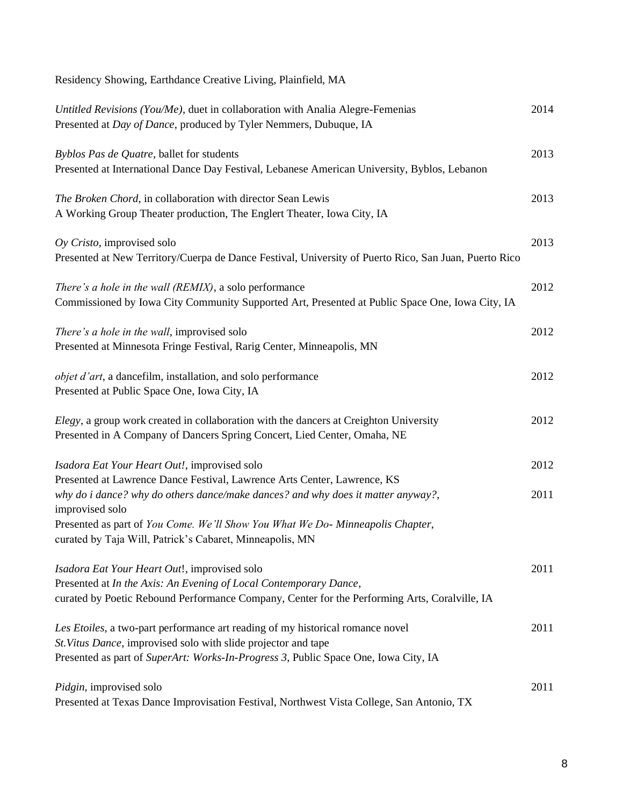| Residency Showing, Earthdance Creative Living, Plainfield, MA                                                                                                                                                                           |      |
|-----------------------------------------------------------------------------------------------------------------------------------------------------------------------------------------------------------------------------------------|------|
| Untitled Revisions (You/Me), duet in collaboration with Analia Alegre-Femenias<br>Presented at Day of Dance, produced by Tyler Nemmers, Dubuque, IA                                                                                     | 2014 |
| Byblos Pas de Quatre, ballet for students<br>Presented at International Dance Day Festival, Lebanese American University, Byblos, Lebanon                                                                                               | 2013 |
| The Broken Chord, in collaboration with director Sean Lewis<br>A Working Group Theater production, The Englert Theater, Iowa City, IA                                                                                                   | 2013 |
| $Oy$ Cristo, improvised solo<br>Presented at New Territory/Cuerpa de Dance Festival, University of Puerto Rico, San Juan, Puerto Rico                                                                                                   | 2013 |
| There's a hole in the wall (REMIX), a solo performance<br>Commissioned by Iowa City Community Supported Art, Presented at Public Space One, Iowa City, IA                                                                               | 2012 |
| There's a hole in the wall, improvised solo<br>Presented at Minnesota Fringe Festival, Rarig Center, Minneapolis, MN                                                                                                                    | 2012 |
| objet d'art, a dancefilm, installation, and solo performance<br>Presented at Public Space One, Iowa City, IA                                                                                                                            | 2012 |
| Elegy, a group work created in collaboration with the dancers at Creighton University<br>Presented in A Company of Dancers Spring Concert, Lied Center, Omaha, NE                                                                       | 2012 |
| Isadora Eat Your Heart Out!, improvised solo                                                                                                                                                                                            | 2012 |
| Presented at Lawrence Dance Festival, Lawrence Arts Center, Lawrence, KS<br>why do i dance? why do others dance/make dances? and why does it matter anyway?,<br>improvised solo                                                         | 2011 |
| Presented as part of You Come. We'll Show You What We Do-Minneapolis Chapter,<br>curated by Taja Will, Patrick's Cabaret, Minneapolis, MN                                                                                               |      |
| Isadora Eat Your Heart Out!, improvised solo<br>Presented at In the Axis: An Evening of Local Contemporary Dance,<br>curated by Poetic Rebound Performance Company, Center for the Performing Arts, Coralville, IA                      | 2011 |
| Les Etoiles, a two-part performance art reading of my historical romance novel<br>St. Vitus Dance, improvised solo with slide projector and tape<br>Presented as part of SuperArt: Works-In-Progress 3, Public Space One, Iowa City, IA | 2011 |
| Pidgin, improvised solo<br>Presented at Texas Dance Improvisation Festival, Northwest Vista College, San Antonio, TX                                                                                                                    | 2011 |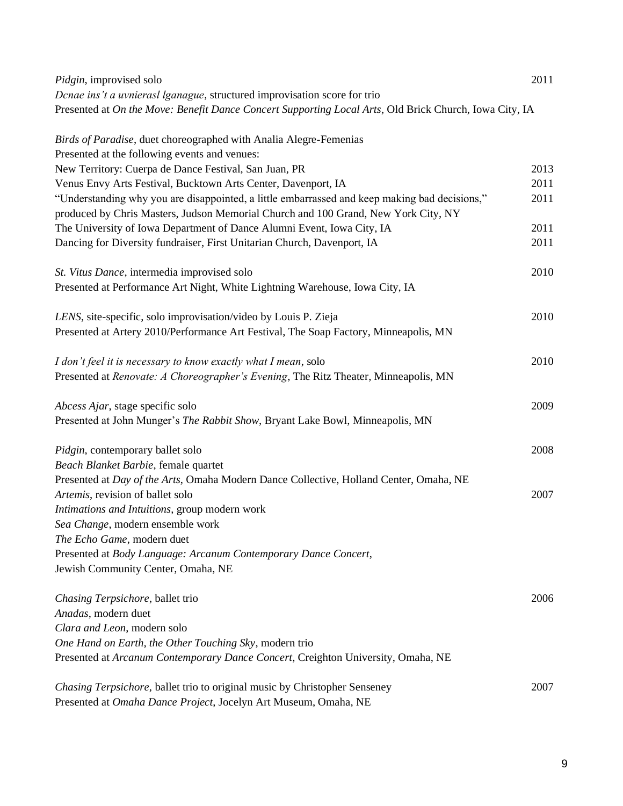| Pidgin, improvised solo                                                                                                                                                             | 2011 |
|-------------------------------------------------------------------------------------------------------------------------------------------------------------------------------------|------|
| Denae ins't a uvnierasl lganague, structured improvisation score for trio                                                                                                           |      |
| Presented at On the Move: Benefit Dance Concert Supporting Local Arts, Old Brick Church, Iowa City, IA                                                                              |      |
| Birds of Paradise, duet choreographed with Analia Alegre-Femenias                                                                                                                   |      |
| Presented at the following events and venues:                                                                                                                                       |      |
| New Territory: Cuerpa de Dance Festival, San Juan, PR                                                                                                                               | 2013 |
| Venus Envy Arts Festival, Bucktown Arts Center, Davenport, IA                                                                                                                       | 2011 |
| "Understanding why you are disappointed, a little embarrassed and keep making bad decisions,"<br>produced by Chris Masters, Judson Memorial Church and 100 Grand, New York City, NY | 2011 |
| The University of Iowa Department of Dance Alumni Event, Iowa City, IA                                                                                                              | 2011 |
| Dancing for Diversity fundraiser, First Unitarian Church, Davenport, IA                                                                                                             | 2011 |
| St. Vitus Dance, intermedia improvised solo                                                                                                                                         | 2010 |
| Presented at Performance Art Night, White Lightning Warehouse, Iowa City, IA                                                                                                        |      |
| LENS, site-specific, solo improvisation/video by Louis P. Zieja                                                                                                                     | 2010 |
| Presented at Artery 2010/Performance Art Festival, The Soap Factory, Minneapolis, MN                                                                                                |      |
| I don't feel it is necessary to know exactly what I mean, solo                                                                                                                      | 2010 |
| Presented at Renovate: A Choreographer's Evening, The Ritz Theater, Minneapolis, MN                                                                                                 |      |
| Abcess Ajar, stage specific solo                                                                                                                                                    | 2009 |
| Presented at John Munger's The Rabbit Show, Bryant Lake Bowl, Minneapolis, MN                                                                                                       |      |
| Pidgin, contemporary ballet solo                                                                                                                                                    | 2008 |
| Beach Blanket Barbie, female quartet                                                                                                                                                |      |
| Presented at Day of the Arts, Omaha Modern Dance Collective, Holland Center, Omaha, NE                                                                                              |      |
| Artemis, revision of ballet solo                                                                                                                                                    | 2007 |
| Intimations and Intuitions, group modern work                                                                                                                                       |      |
| Sea Change, modern ensemble work                                                                                                                                                    |      |
| The Echo Game, modern duet                                                                                                                                                          |      |
| Presented at Body Language: Arcanum Contemporary Dance Concert,                                                                                                                     |      |
| Jewish Community Center, Omaha, NE                                                                                                                                                  |      |
| Chasing Terpsichore, ballet trio                                                                                                                                                    | 2006 |
| Anadas, modern duet                                                                                                                                                                 |      |
| Clara and Leon, modern solo                                                                                                                                                         |      |
| One Hand on Earth, the Other Touching Sky, modern trio                                                                                                                              |      |
| Presented at Arcanum Contemporary Dance Concert, Creighton University, Omaha, NE                                                                                                    |      |
| Chasing Terpsichore, ballet trio to original music by Christopher Senseney                                                                                                          | 2007 |
| Presented at Omaha Dance Project, Jocelyn Art Museum, Omaha, NE                                                                                                                     |      |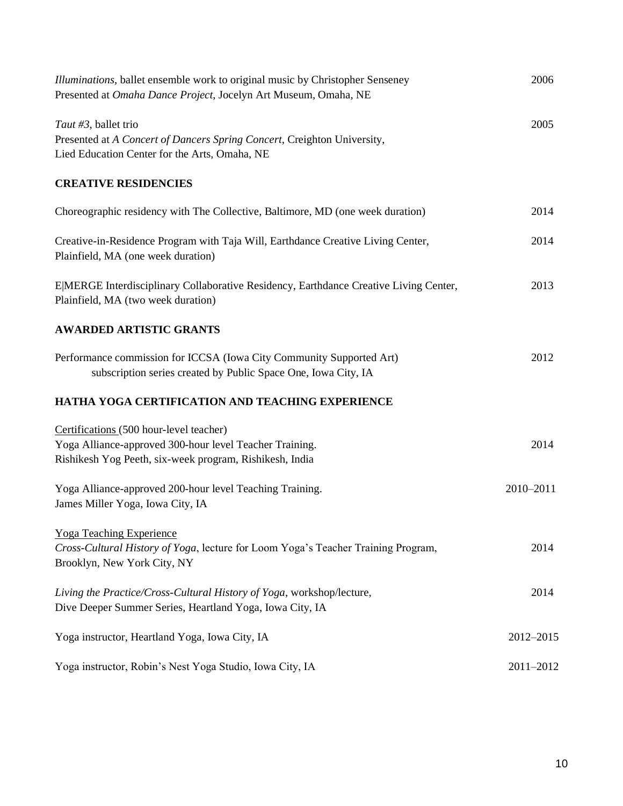| <i>Illuminations</i> , ballet ensemble work to original music by Christopher Senseney<br>Presented at Omaha Dance Project, Jocelyn Art Museum, Omaha, NE      | 2006      |
|---------------------------------------------------------------------------------------------------------------------------------------------------------------|-----------|
| Taut #3, ballet trio<br>Presented at A Concert of Dancers Spring Concert, Creighton University,<br>Lied Education Center for the Arts, Omaha, NE              | 2005      |
| <b>CREATIVE RESIDENCIES</b>                                                                                                                                   |           |
| Choreographic residency with The Collective, Baltimore, MD (one week duration)                                                                                | 2014      |
| Creative-in-Residence Program with Taja Will, Earthdance Creative Living Center,<br>Plainfield, MA (one week duration)                                        | 2014      |
| E MERGE Interdisciplinary Collaborative Residency, Earthdance Creative Living Center,<br>Plainfield, MA (two week duration)                                   | 2013      |
| <b>AWARDED ARTISTIC GRANTS</b>                                                                                                                                |           |
| Performance commission for ICCSA (Iowa City Community Supported Art)<br>subscription series created by Public Space One, Iowa City, IA                        | 2012      |
| HATHA YOGA CERTIFICATION AND TEACHING EXPERIENCE                                                                                                              |           |
| Certifications (500 hour-level teacher)<br>Yoga Alliance-approved 300-hour level Teacher Training.<br>Rishikesh Yog Peeth, six-week program, Rishikesh, India | 2014      |
| Yoga Alliance-approved 200-hour level Teaching Training.<br>James Miller Yoga, Iowa City, IA                                                                  | 2010-2011 |
| Yoga Teaching Experience<br>Cross-Cultural History of Yoga, lecture for Loom Yoga's Teacher Training Program,<br>Brooklyn, New York City, NY                  | 2014      |
| Living the Practice/Cross-Cultural History of Yoga, workshop/lecture,<br>Dive Deeper Summer Series, Heartland Yoga, Iowa City, IA                             | 2014      |
| Yoga instructor, Heartland Yoga, Iowa City, IA                                                                                                                | 2012-2015 |
| Yoga instructor, Robin's Nest Yoga Studio, Iowa City, IA                                                                                                      | 2011-2012 |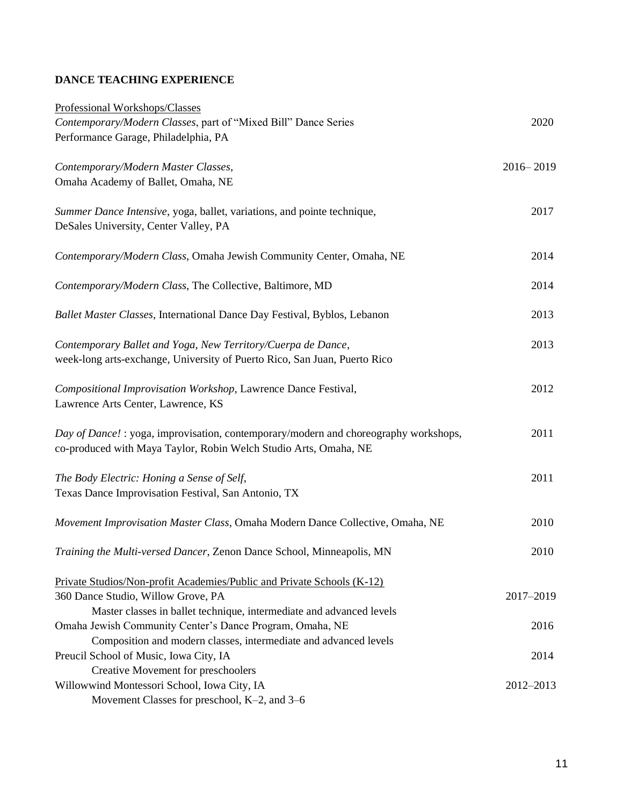# **DANCE TEACHING EXPERIENCE**

| Professional Workshops/Classes                                                                                                                           |               |
|----------------------------------------------------------------------------------------------------------------------------------------------------------|---------------|
| Contemporary/Modern Classes, part of "Mixed Bill" Dance Series                                                                                           | 2020          |
| Performance Garage, Philadelphia, PA                                                                                                                     |               |
| Contemporary/Modern Master Classes,                                                                                                                      | $2016 - 2019$ |
| Omaha Academy of Ballet, Omaha, NE                                                                                                                       |               |
| Summer Dance Intensive, yoga, ballet, variations, and pointe technique,<br>DeSales University, Center Valley, PA                                         | 2017          |
| Contemporary/Modern Class, Omaha Jewish Community Center, Omaha, NE                                                                                      | 2014          |
| Contemporary/Modern Class, The Collective, Baltimore, MD                                                                                                 | 2014          |
| Ballet Master Classes, International Dance Day Festival, Byblos, Lebanon                                                                                 | 2013          |
| Contemporary Ballet and Yoga, New Territory/Cuerpa de Dance,<br>week-long arts-exchange, University of Puerto Rico, San Juan, Puerto Rico                | 2013          |
| Compositional Improvisation Workshop, Lawrence Dance Festival,<br>Lawrence Arts Center, Lawrence, KS                                                     | 2012          |
| Day of Dance! : yoga, improvisation, contemporary/modern and choreography workshops,<br>co-produced with Maya Taylor, Robin Welch Studio Arts, Omaha, NE | 2011          |
| The Body Electric: Honing a Sense of Self,<br>Texas Dance Improvisation Festival, San Antonio, TX                                                        | 2011          |
| Movement Improvisation Master Class, Omaha Modern Dance Collective, Omaha, NE                                                                            | 2010          |
| Training the Multi-versed Dancer, Zenon Dance School, Minneapolis, MN                                                                                    | 2010          |
| Private Studios/Non-profit Academies/Public and Private Schools (K-12)                                                                                   |               |
| 360 Dance Studio, Willow Grove, PA                                                                                                                       | 2017-2019     |
| Master classes in ballet technique, intermediate and advanced levels                                                                                     |               |
| Omaha Jewish Community Center's Dance Program, Omaha, NE                                                                                                 | 2016          |
| Composition and modern classes, intermediate and advanced levels                                                                                         |               |
| Preucil School of Music, Iowa City, IA                                                                                                                   | 2014          |
| Creative Movement for preschoolers                                                                                                                       |               |
| Willowwind Montessori School, Iowa City, IA                                                                                                              | 2012-2013     |
| Movement Classes for preschool, K-2, and 3-6                                                                                                             |               |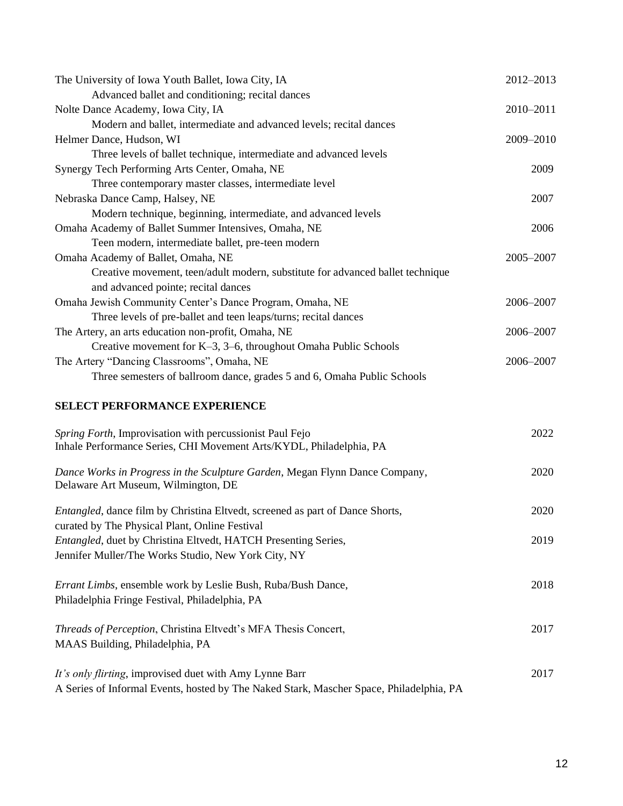| The University of Iowa Youth Ballet, Iowa City, IA                                                                              | 2012-2013 |
|---------------------------------------------------------------------------------------------------------------------------------|-----------|
| Advanced ballet and conditioning; recital dances                                                                                |           |
| Nolte Dance Academy, Iowa City, IA                                                                                              | 2010-2011 |
| Modern and ballet, intermediate and advanced levels; recital dances                                                             |           |
| Helmer Dance, Hudson, WI                                                                                                        | 2009-2010 |
| Three levels of ballet technique, intermediate and advanced levels                                                              |           |
| Synergy Tech Performing Arts Center, Omaha, NE                                                                                  | 2009      |
| Three contemporary master classes, intermediate level                                                                           |           |
| Nebraska Dance Camp, Halsey, NE                                                                                                 | 2007      |
| Modern technique, beginning, intermediate, and advanced levels                                                                  |           |
| Omaha Academy of Ballet Summer Intensives, Omaha, NE                                                                            | 2006      |
| Teen modern, intermediate ballet, pre-teen modern                                                                               |           |
| Omaha Academy of Ballet, Omaha, NE                                                                                              | 2005-2007 |
| Creative movement, teen/adult modern, substitute for advanced ballet technique                                                  |           |
| and advanced pointe; recital dances                                                                                             |           |
| Omaha Jewish Community Center's Dance Program, Omaha, NE                                                                        | 2006-2007 |
| Three levels of pre-ballet and teen leaps/turns; recital dances                                                                 |           |
| The Artery, an arts education non-profit, Omaha, NE                                                                             | 2006-2007 |
| Creative movement for K-3, 3-6, throughout Omaha Public Schools                                                                 |           |
| The Artery "Dancing Classrooms", Omaha, NE                                                                                      | 2006-2007 |
| Three semesters of ballroom dance, grades 5 and 6, Omaha Public Schools                                                         |           |
| <b>SELECT PERFORMANCE EXPERIENCE</b>                                                                                            |           |
| Spring Forth, Improvisation with percussionist Paul Fejo<br>Inhale Performance Series, CHI Movement Arts/KYDL, Philadelphia, PA | 2022      |
| Dance Works in Progress in the Sculpture Garden, Megan Flynn Dance Company,<br>Delaware Art Museum, Wilmington, DE              | 2020      |
| Entangled, dance film by Christina Eltvedt, screened as part of Dance Shorts,<br>curated by The Physical Plant, Online Festival | 2020      |
| Entangled, duet by Christina Eltvedt, HATCH Presenting Series,                                                                  | 2019      |
| Jennifer Muller/The Works Studio, New York City, NY                                                                             |           |
|                                                                                                                                 |           |
| Errant Limbs, ensemble work by Leslie Bush, Ruba/Bush Dance,                                                                    | 2018      |
| Philadelphia Fringe Festival, Philadelphia, PA                                                                                  |           |
|                                                                                                                                 |           |
| Threads of Perception, Christina Eltvedt's MFA Thesis Concert,                                                                  | 2017      |
| MAAS Building, Philadelphia, PA                                                                                                 |           |
|                                                                                                                                 |           |
| It's only flirting, improvised duet with Amy Lynne Barr                                                                         | 2017      |
| A Series of Informal Events, hosted by The Naked Stark, Mascher Space, Philadelphia, PA                                         |           |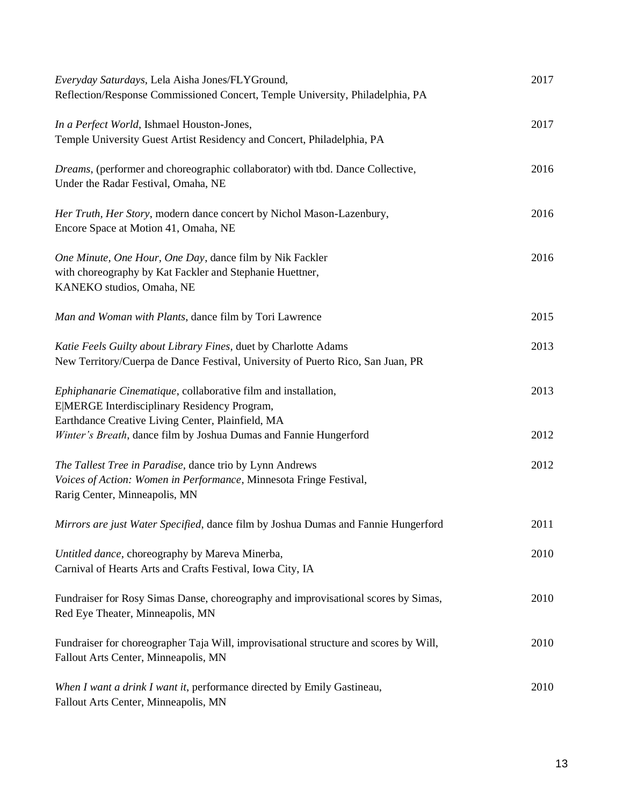| Everyday Saturdays, Lela Aisha Jones/FLYGround,<br>Reflection/Response Commissioned Concert, Temple University, Philadelphia, PA                                | 2017 |
|-----------------------------------------------------------------------------------------------------------------------------------------------------------------|------|
| In a Perfect World, Ishmael Houston-Jones,<br>Temple University Guest Artist Residency and Concert, Philadelphia, PA                                            | 2017 |
| Dreams, (performer and choreographic collaborator) with tbd. Dance Collective,<br>Under the Radar Festival, Omaha, NE                                           | 2016 |
| Her Truth, Her Story, modern dance concert by Nichol Mason-Lazenbury,<br>Encore Space at Motion 41, Omaha, NE                                                   | 2016 |
| One Minute, One Hour, One Day, dance film by Nik Fackler<br>with choreography by Kat Fackler and Stephanie Huettner,<br>KANEKO studios, Omaha, NE               | 2016 |
| Man and Woman with Plants, dance film by Tori Lawrence                                                                                                          | 2015 |
| Katie Feels Guilty about Library Fines, duet by Charlotte Adams<br>New Territory/Cuerpa de Dance Festival, University of Puerto Rico, San Juan, PR              | 2013 |
| Ephiphanarie Cinematique, collaborative film and installation,<br>E MERGE Interdisciplinary Residency Program,                                                  | 2013 |
| Earthdance Creative Living Center, Plainfield, MA<br>Winter's Breath, dance film by Joshua Dumas and Fannie Hungerford                                          | 2012 |
| The Tallest Tree in Paradise, dance trio by Lynn Andrews<br>Voices of Action: Women in Performance, Minnesota Fringe Festival,<br>Rarig Center, Minneapolis, MN | 2012 |
| Mirrors are just Water Specified, dance film by Joshua Dumas and Fannie Hungerford                                                                              | 2011 |
| Untitled dance, choreography by Mareva Minerba,<br>Carnival of Hearts Arts and Crafts Festival, Iowa City, IA                                                   | 2010 |
| Fundraiser for Rosy Simas Danse, choreography and improvisational scores by Simas,<br>Red Eye Theater, Minneapolis, MN                                          | 2010 |
| Fundraiser for choreographer Taja Will, improvisational structure and scores by Will,<br>Fallout Arts Center, Minneapolis, MN                                   | 2010 |
| When I want a drink I want it, performance directed by Emily Gastineau,<br>Fallout Arts Center, Minneapolis, MN                                                 | 2010 |